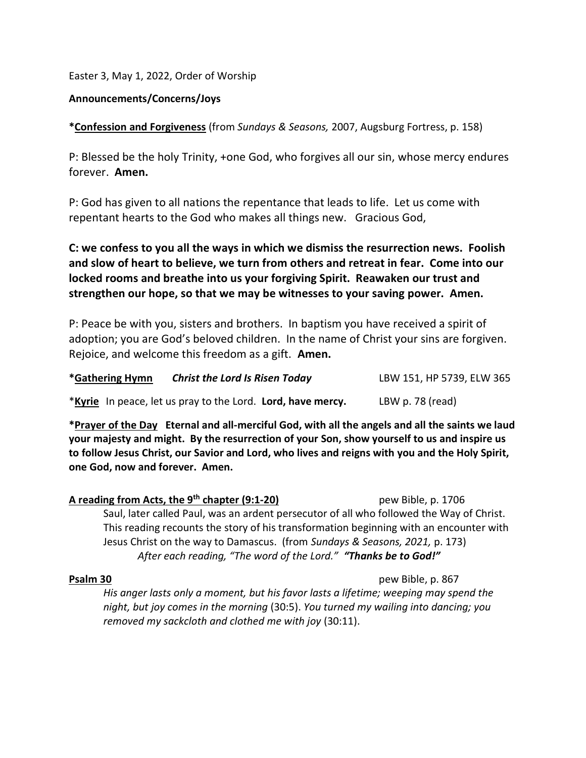Easter 3, May 1, 2022, Order of Worship

## Announcements/Concerns/Joys

\*Confession and Forgiveness (from Sundays & Seasons, 2007, Augsburg Fortress, p. 158)

P: Blessed be the holy Trinity, +one God, who forgives all our sin, whose mercy endures forever. Amen.

P: God has given to all nations the repentance that leads to life. Let us come with repentant hearts to the God who makes all things new. Gracious God,

C: we confess to you all the ways in which we dismiss the resurrection news. Foolish and slow of heart to believe, we turn from others and retreat in fear. Come into our locked rooms and breathe into us your forgiving Spirit. Reawaken our trust and strengthen our hope, so that we may be witnesses to your saving power. Amen.

P: Peace be with you, sisters and brothers. In baptism you have received a spirit of adoption; you are God's beloved children. In the name of Christ your sins are forgiven. Rejoice, and welcome this freedom as a gift. Amen.

| *Gathering Hymn | <b>Christ the Lord Is Risen Today</b>                              | LBW 151, HP 5739, ELW 365 |
|-----------------|--------------------------------------------------------------------|---------------------------|
|                 | <i>*Kyrie</i> In peace, let us pray to the Lord. Lord, have mercy. | LBW p. 78 (read)          |

\*Prayer of the Day Eternal and all-merciful God, with all the angels and all the saints we laud your majesty and might. By the resurrection of your Son, show yourself to us and inspire us to follow Jesus Christ, our Savior and Lord, who lives and reigns with you and the Holy Spirit, one God, now and forever. Amen.

A reading from Acts, the 9<sup>th</sup> chapter (9:1-20) pew Bible, p. 1706 Saul, later called Paul, was an ardent persecutor of all who followed the Way of Christ. This reading recounts the story of his transformation beginning with an encounter with Jesus Christ on the way to Damascus. (from Sundays & Seasons, 2021, p. 173) After each reading, "The word of the Lord." "Thanks be to God!"

**Psalm 30** pew Bible, p. 867

His anger lasts only a moment, but his favor lasts a lifetime; weeping may spend the night, but joy comes in the morning (30:5). You turned my wailing into dancing; you removed my sackcloth and clothed me with joy (30:11).